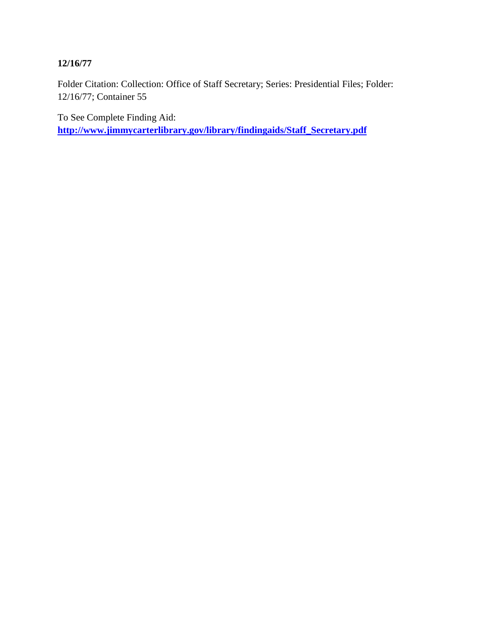# **12/16/77**

Folder Citation: Collection: Office of Staff Secretary; Series: Presidential Files; Folder: 12/16/77; Container 55

To See Complete Finding Aid: **[http://www.jimmycarterlibrary.gov/library/findingaids/Staff\\_Secretary.pdf](http://www.jimmycarterlibrary.gov/library/findingaids/Staff_Secretary.pdf)**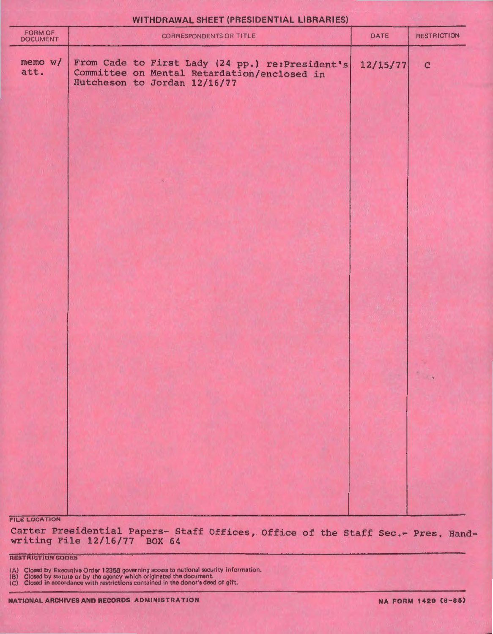| FORM OF<br>DOCUMENT  | CORRESPONDENTS OR TITLE                                                                                                        | DATE     | <b>RESTRICTION</b> |
|----------------------|--------------------------------------------------------------------------------------------------------------------------------|----------|--------------------|
| memo w/<br>att.      | From Cade to First Lady (24 pp.) re:President's<br>Committee on Mental Retardation/enclosed in<br>Hutcheson to Jordan 12/16/77 | 12/15/77 | $\mathbf{C}$       |
|                      |                                                                                                                                |          |                    |
|                      |                                                                                                                                |          |                    |
|                      |                                                                                                                                |          |                    |
|                      |                                                                                                                                |          |                    |
|                      |                                                                                                                                |          | 1.2                |
|                      |                                                                                                                                |          |                    |
|                      |                                                                                                                                |          |                    |
| <b>FILE LOCATION</b> |                                                                                                                                |          |                    |

WITHDRAWAL SHEET (PRESIDENTIAL LIBRARIES)

# Carter Presidential Papers- Staff Offices, Office of the Staff Sec.- Pres. Randwriting File 12/16/77 BOX 64

RESTRICTION CODES

(A) Closed by Executive Order 12356 governing access to national security information.<br>(B) Closed by statute or by the agency which originated the document.<br>(C) Closed in accordance with restrictions contained in the donor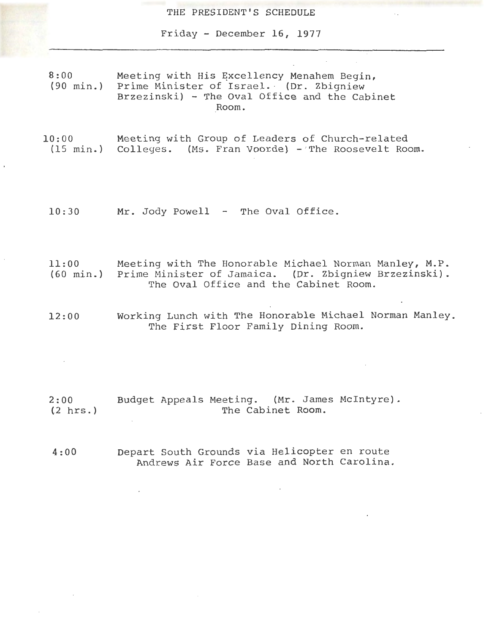THE PRESIDENT'S SCHEDULE

Friday - December 16, 1977

8:00 (90 min.) Meeting with His Excellency Menahem Begin, Prime Minister of Israel. (Dr. Zbigniew Brzezinski) - The Oval Office and the Cabinet Room.

- 10:00 (15 min.) Colleges. (Ms. Fran Voorde) - The Roosevelt Room. Meeting with Group of Leaders of Church-related
	- 10: 30 Mr. Jody Powell - The Oval Office.
	- 11:00 (60 min.) Prime Minister of Jamaica. (Dr. Zbigniew Brzezinski). Meeting with The Honorable Michael Norman Manley, M.P.<br>Prime Minister of Jamaica. (Dr. Zbigniew Brzezinski). The Oval Office and the Cabinet Room.
	- 12:00 Working Lunch with The Honorable Michael Norman Manley. The First Floor Family Dining Room.

2:00 (.2 hrs. ) Budget Appeals Meeting. (Mr. James Mcintyre). The Cabinet Room.

4:00 Depart South Grounds via Helicopter en route Andrews Air Force Base and North Carolina.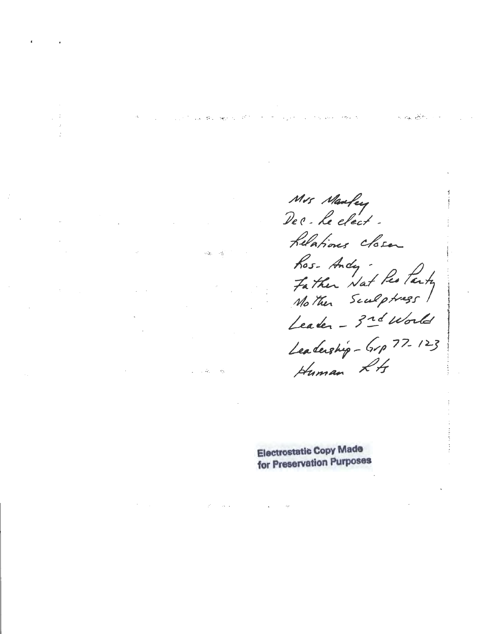Mrs Maufey<br>De & le clect -Lelations closen hos-Andy<br>Father Nat Restarty<br>Mother Sculptuss Leader - 3rd World Leadership - Grp 77-123 Human LA

**Electrostatic Copy Made** for Preservation Purposes

a part of the case of the con-

Louis Broch Beyond

 $\omega_{\rm eff}^2 = \omega_{\rm B}^2$ 

 $\sim 10^{-1}$  km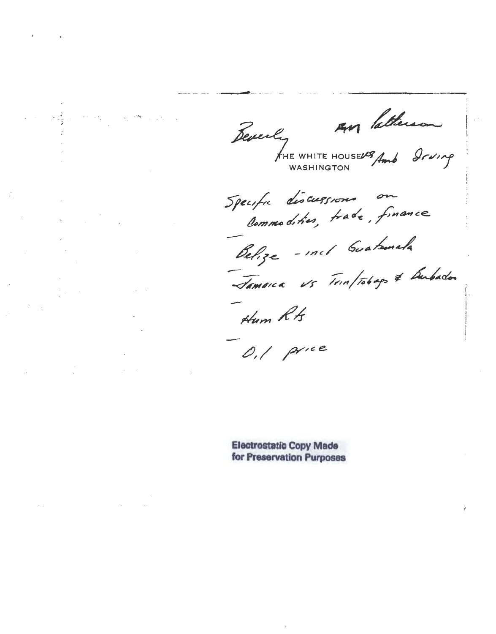Reverly<br>FINE WHITE H

AM Patherson

Specific discussions on

Belize - incl Guatemala Jamarca vs Trinftobags & Bubadon

Hum Rts

 $0,1$  price

**Electrostatic Copy Made** for Preservation Purposes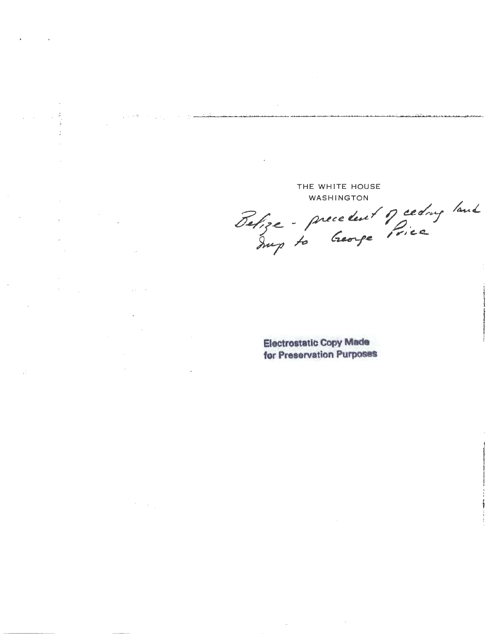THE WHITE HOUSE **WASHINGTON** 

 $\sim 10^{-2}$ 

 $\mathcal{A}(\mathcal{A})$  and  $\mathcal{A}(\mathcal{A})$ 

 $\mathcal{L}$ 

Belize - precedent of ceding land

**Electrostatic Copy Made** for Preservation Purposes

 $\mathcal{L}_{\mathcal{C}}$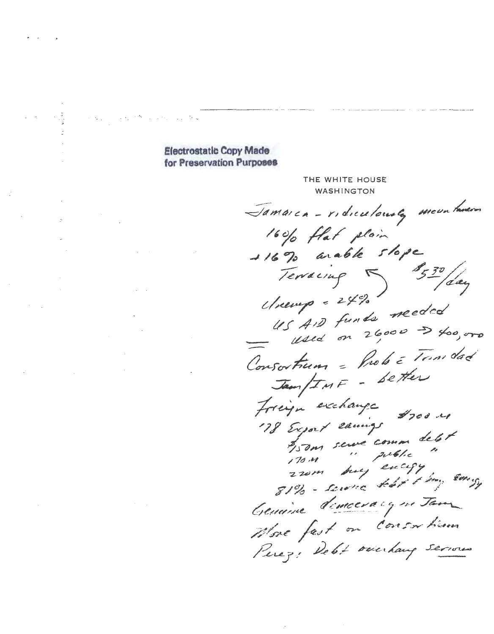# **Electrostatic Copy Made** for Preservation Purposes

 $\label{eq:1} \mathcal{L}_{\mathcal{A}}(\mathcal{A}_{\mathcal{A}}) \stackrel{\text{def}}{=} \mathcal{L}_{\mathcal{A}}(\mathcal{A}_{\mathcal{A}}) \otimes \mathcal{L}_{\mathcal{A}}(\mathcal{A}_{\mathcal{A}})$ 

THE WHITE HOUSE WASHINGTON Jamaica - ridiculouse, meun tavar 160% flat plain  $116$  % arable slope Terracing 530 /day  $US$   $AD$  funds needed Consortium = Prob = Tom dad Jam/INF - Setter Friege exchange #700 mg<br>178 Expart earnings<br>#150m serve comme delet<br>170m buy excupy<br>270m buy excupy Creuaine democracy ne Jam Wore fast on Consor him Perez: Debt overhang serious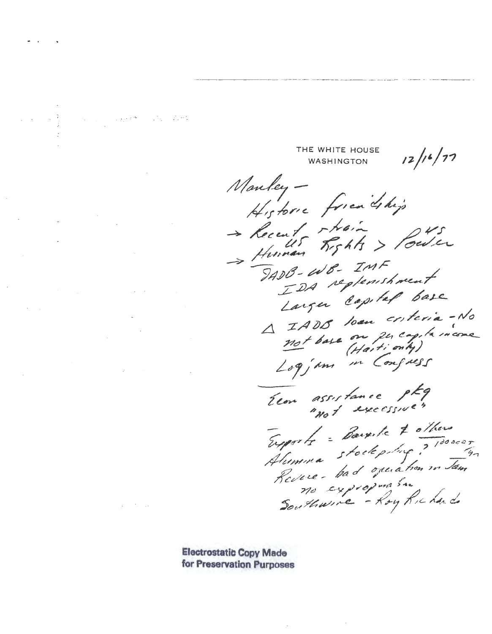THE WHITE HOUSE  $12/16/77$ **WASHINGTON** Manley-Historic friendship Human Rights > Power  $740B - 20B - 7MF$ IDA replenshment Larger Capital base A IADO Soan criteria-No not base on percapte income Elon assistance ptg Exports = Bargite & others reports = warrier 7 1000007

**Electrostatic Copy Made** for Preservation Purposes

and the company of the second that the contract of the contract of the contract of the contract of the contract of the contract of the contract of the contract of the contract of the contract of the contract of the contrac

 $\gamma_{\rm p} = 2\pi/2$  .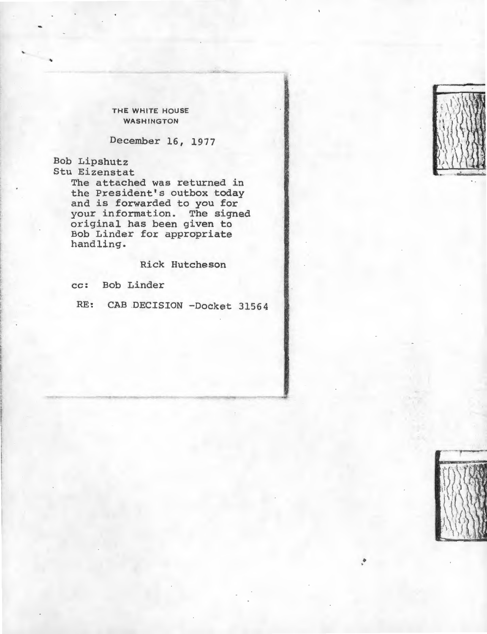THE WHITE HOUSE WASHINGTON

December 16, 1977

Bob Lipshutz Stu Eizenstat

The attached was returned in the President's outbox today and is forwarded to you for your information. The signed original has been given to Bob Linder for appropriate handling.

Rick Hutcheson

cc: Bob Linder

RE: CAB DECISION -Docket 31564



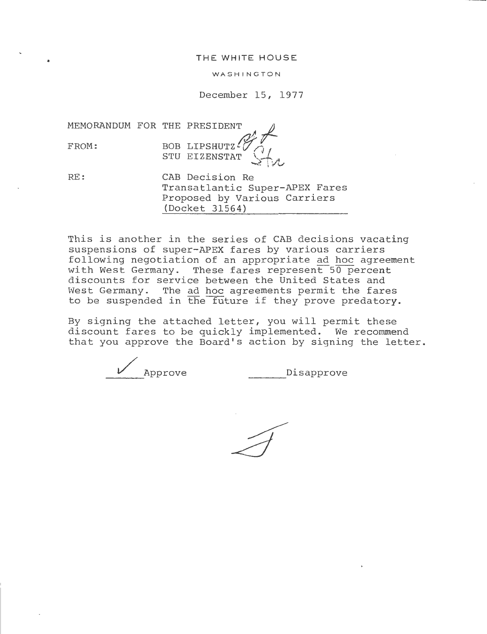### THE WHITE HOUSE

### WASHING TON

### December 15, 1977

MEMORANDUM FOR THE PRESIDENT *-I-*

BOB LIPSHUTZ $\mathscr{G}_{\widehat{\mathcal{A}}}$ FROM: BOB LIPSHUTZ<sup>2</sup>

RE:

CAB Decision Re Transatlantic Super-APEX Fares Proposed by Various Carriers (Docket 31564)

This is another in the series of CAB decisions vacating suspensions of super-APEX fares by various carriers following negotiation of an appropriate ad hoc agreement with West Germany. These fares represent  $50$  percent discounts for service between the United States and West Germany. The ad hoc agreements permit the fares to be suspended in the future if they prove predatory.

By signing the attached letter, you will permit these discount fares to be quickly implemented. We recommend that you approve the Board's action by signing the letter.

/ Approve ----Disapprove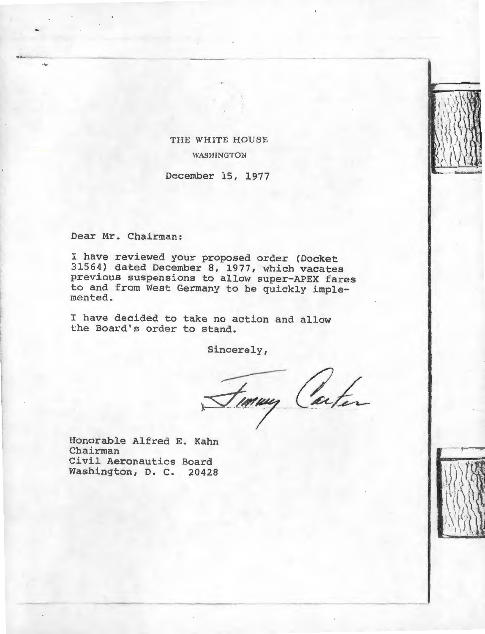# THE WHITE HOUSE WASHINGTON

December 15, 1977

Dear Mr. Chairman:

...

I have reviewed your proposed order (Docket 31564) dated December 8, 1977, which vacates previous suspensions to allow super-APEX fares to and from West Germany to be quickly imple- mented.

I have decided to take no action and allow the Board's order to stand.

Sincerely,

Finny Carter

Honorable Alfred E. Kahn Chairman Civil Aeronautics Board Washington, D. C. 20428

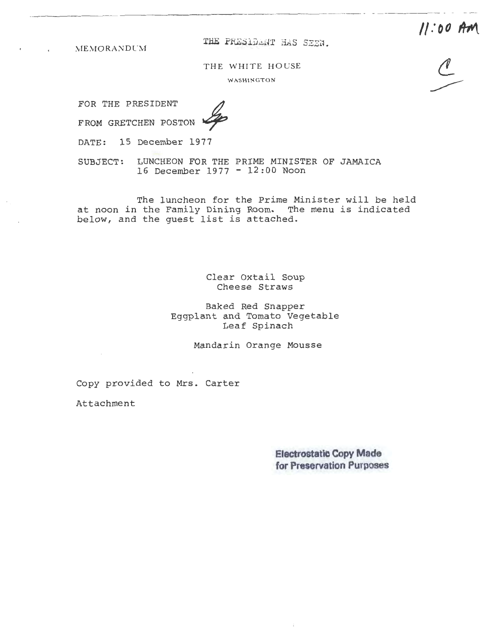**11:00 Am** 

 $MEMORANDUM$ 

THE PRESIDENT HAS SEEN.

THE WHITE HOUSE

WASHINGTON

FOR THE PRESIDENT

FROM GRETCHEN POSTON

DATE: 15 December 1977

SUBJECT: LUNCHEON FOR THE PRIME MINISTER OF JAMAICA 16 December 1977 - 12:00 Noon

The luncheon for the Prime Minister will be held at noon in the Family Dining Room. The menu is indicated below, and the guest list is attached.

> Clear Oxtail Soup Cheese Straws

Baked Red Snapper Eggplant and Tomato Vegetable Leaf Spinach

Mandarin Orange Mousse

Copy provided to Mrs. Carter

Attachment

**Electrostatic Copy Made for Preservation Purposes**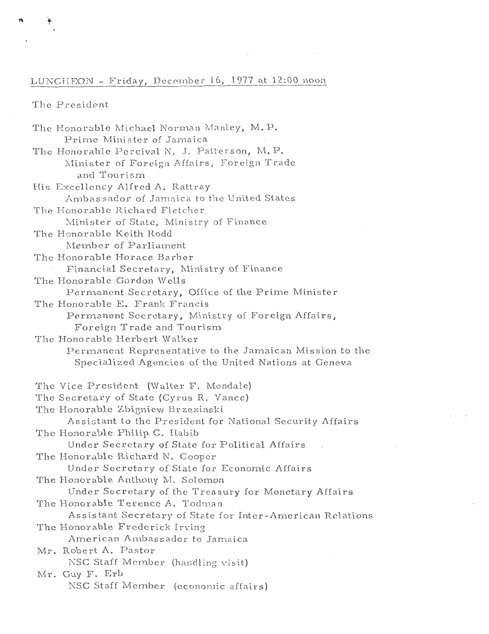## LUNCHEON - Friday, December 16, 1977 at 12:00 noon

The President

The Honorable Michael Norman Manley, M.P. Prime Minister of Jamaica The Honorable Percival N. J. Patterson, M.P. Minister of Foreign Affairs, Foreign Trade and Tourism His Excellency Alfred A. Rattray Ambassador of Jamaica to the United States The Honorable Richard Fletcher Minister of State, Ministry of Finance The Honorable Keith Rodd Member of Parliament The Honorable Horace Barber Financial Secretary, Ministry of Finance The Honorable Gordon Wells Permanent Secretary, Office of the Prime Minister The Honorable E. Frank Francis Permanent Secretary, Ministry of Foreign Affairs, Foreign Trade and Tourism The Honorable Herbert Walker Permanent Representative to the Jamaican Mission to the Specialized Agencies of the United Nations at Geneva The Vice President (Walter F. Mondale) The Secretary of State (Cyrus R. Vance) The Honorable Zbigniew Brzezinski Assistant to the President for National Security Affairs The Honorable Philip C. Habib Under Secretary of State for Political Affairs The Honorable Richard N. Cooper Under Secretary of State for Economic Affairs The Honorable Anthony M. Solomon Under Secretary of the Treasury for Monetary Affairs The Honorable Terence A. Todman Assistant Secretary of State for Inter-American Relations The Honorable Frederick Irving American Ambassador to Jamaica Mr. Robert A. Pastor NSC Staff Member (handling visit) Mr. Guy F. Erb NSC Staff Member (economic affairs)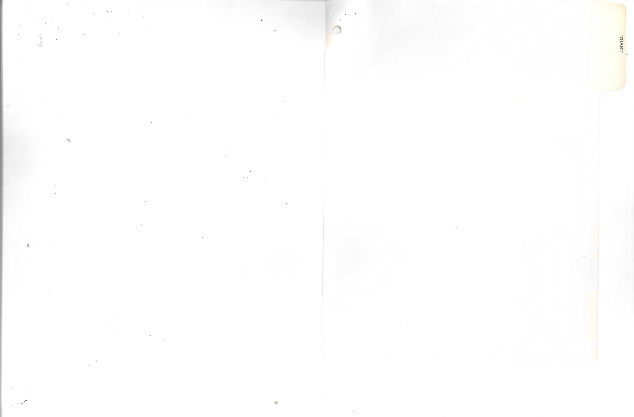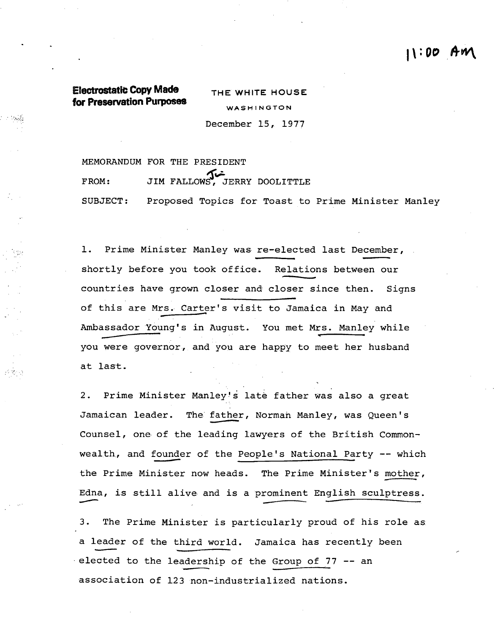# $11:00$  An

# **Electrostatic Copy Made for Preservation Purposes**

----

**THE WHITE HOUSE**  WASHINGTON December 15, 1977

MEMORANDUM FOR THE PRESIDENT FROM: JIM FALLOWS, JERRY DOOLITTLE SUBJECT: Proposed Topics for Toast to Prime Minister Manley

1. Prime Minister Manley was re-elected last December, shortly before you took office. Relations between our countries have grown closer and closer since then. Signs of this are Mrs. Carter's visit to Jamaica in May and Ambassador Young's in August. You met Mrs. Manley while you were governor, and you are happy to meet her husband at last.

2. Prime Minister Manley's late father was also a great Jamaican leader. The father, Norman Manley, was Queen's Counsel, one· of the leading lawyers of the British Commonwealth, and founder of the People's National Party -- which<br>the Prime Minister now heads. The Prime Minister's mother, Edna, is still alive and is a prominent English sculptress.

3. The Prime Minister is particularly proud of his role as a leader of the third world. Jamaica has recently been · elected to the leadership of the Group of 77 -- an association of 123 non-industrialized nations.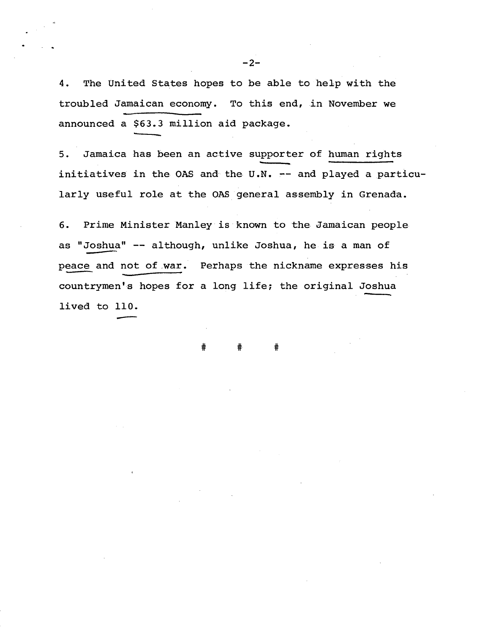4. The United States hopes to be able to he1p with the troubled Jamaican economy. To this end, in November we announced a \$63.3 million aid package.

5. Jamaica has been an active supporter of human rights initiatives in the OAS and the U.N. -- and played a particularly useful role at the OAS general assembly in Grenada.

6. Prime Minister Manley is known to the Jamaican people as "Joshua" -- although, unlike Joshua, he is a man of peace and not of war. Perhaps the nickname expresses his countrymen's hopes for a long life; the original Joshua  $\frac{$ -110}{\sqrt{2}}

# # #

 $-2-$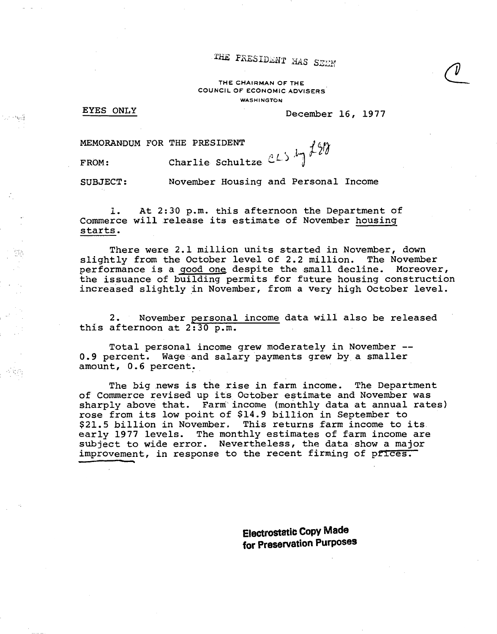THE FRESIDENT HAS SEEN

THE CHAIRMAN OF THE COUNCIL OF ECONOMIC ADVISERS. **WASHINGTON** 

### EYES ONLY

or Ped

작곡

December 16, 1977

MEMORANDUM FOR THE PRESIDENT

FROM: Charlie Schultze  $CL5 \nmid \frac{120}{120}$ 

SUBJECT: November Housing and Personal Income

1. At 2:30 p.m. this afternoon the Department of Commerce will release its estimate of November housing starts.

There were 2.1 million units started in November, down slightly from the October level of 2.2 million. The November performance is a good one despite the small decline. Moreover, the issuance of building permits for future housing construction increased slightly in November, from a very high October level.

2. November personal income data will also be released this afternoon at 2:30 p.m.

Total personal income grew moderately in November -- 0.9 percent. Wage and salary payments grew by a smaller amount, 0.6 percent.

The big news is the rise in farm income. The Department of Commerce revised up its October estimate and November was sharply above that. Farm income (monthly data at annual rates) rose from its low point of \$14.9 billion in September to<br>\$21.5 billion in November. This returns farm income to: This returns farm income to its. early 1977 levels. The monthly estimates of farm income are subject to wide error. Nevertheless, the data show a major improvement, in response to the recent firming of prices.

> **Electrostatic Copy Made for Preservation Purposes**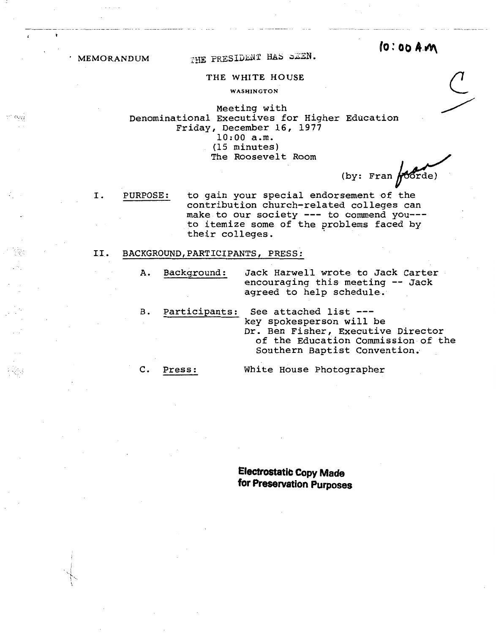I.

. -. ~~ *·,.,.;:..;* 

**MEMORANDUM** THE PRESIDENT HAS SEEN. **10:00 AM** 

## THE WHITE HOUSE

WASHINGTON

Meeting with Denominational Executives for Higher Education Friday, December 16, 1977 10:00 a.m. (15 minutes) The Roosevelt Room

(by: Fran  $/$ 00rde)

PURPOSE: to gain your special endorsement of the contribution church-related colleges can make to our society --- to commend you--to itemize some of the problems faced by their colleges.

### I.I. BACKGROUND, PARTICIPANTS, PRESS:

A. Background: Jack Harwell wrote to Jack Carter encouraging this meeting -- Jack agreed to help schedule.

B. Participants: See attached list -- key spokesperson will be Dr. Ben Fisher, Executive Director of the Education Commission of the Southern Baptist Convention.

C. Press:

White House Photographer

**Electrostatic Copy Made for Preservation Purposes**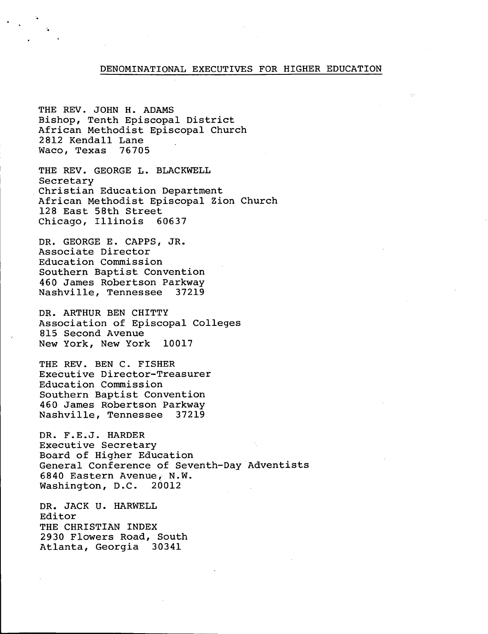### DENOMINATIONAL EXECUTIVES FOR HIGHER EDUCATION

THE REV. JOHN H. ADAMS Bishop, Tenth Episcopal District African Methodist Episcopal Church 2812 Kendall Lane Waco, Texas 76705

..

·.

THE REV. GEORGE L. BLACKWELL Secretary Christian Education Department African Methodist Episcopal Zion Church 128 East 5Sth Street Chicago, Illinois 60637

DR. GEORGE E. CAPPS, JR. Associate Director Education Commission Southern Baptist Convention 460 James Robertson Parkway Nashville, Tennessee 37219

DR. ARTHUR BEN CHITTY Association of Episcopal Colleges 815 Second Avenue New York, New York 10017

THE REV. BEN C. FISHER Executive Director-Treasurer Education Commission Southern Baptist Convention 460 James Robertson Parkway Nashville, Tennessee 37219

DR. F.E.J. HARDER Executive Secretary Board of Higher Education General Conference of Seventh-Day Adventists 6840 Eastern Avenue, N.W. Washington, D.C. 20012

DR. JACK U. HARWELL Editor THE CHRISTIAN INDEX 2930 Flowers Road, South Atlanta, Georgia 30341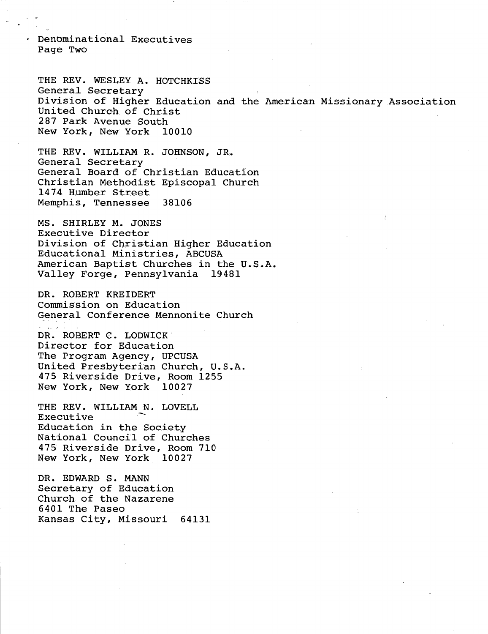Denominational Executives Page Two

THE REV. WESLEY A. HOTCHKISS General Secretary Division of Higher Education and the American Missionary Association United Church of Christ 287 Park Avenue South New York, New York 10010

THE REV. WILLIAM R. JOHNSON, JR. General Secretary General Board of Christian Education Christian Methodist Episcopal Church 1474 Humber Street Memphis, Tennessee 38106

MS. SHIRLEY M. JONES Executive Director Division of Christian Higher Education Educational Ministries, ABCUSA American Baptist Churches in the U.S.A. Valley Forge, Pennsylvania 19481

DR. ROBERT KREIDERT Commission on Education General Conference. Mennonite Church

ري.<br>حواليد الله DR. ROBERT C. LODWICK. Director for Education The Program Agency, UPCUSA United Presbyterian Church, U.S.A. 475 Riverside Drive, Room 1255 New York, New York 10027

THE REV. WILLIAM N. LOVELL Executive Education in the Society National Council of Churches 475 Riverside Drive, Room 710 New York, New York 10027

DR. EDWARD S. MANN Secretary of Education Church of the Nazarene 6401 The Paseo Kansas City, Missouri 64131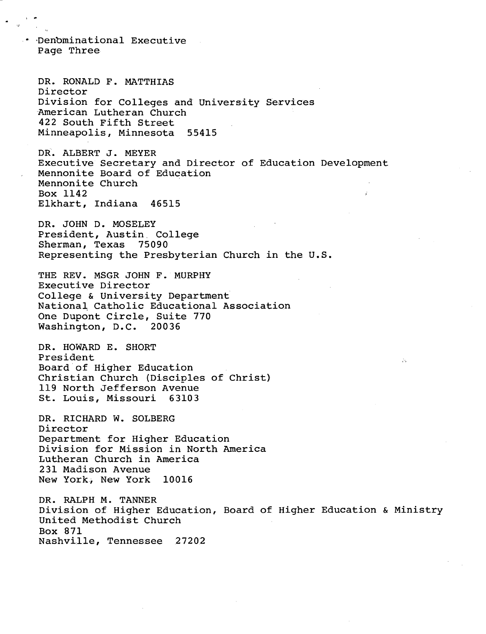• ·Den'bminational Executive Page Three

DR. RONALD F. MATTHIAS Director Division for Colleges and University Services -American Lutheran Church 422 South Fifth Street Minneapolis, Minnesota 55415

DR. ALBERT J. MEYER Executive Secretary and Director of Education Development Mennonite Board of Education Mennonite Church Box 1142 Elkhart, Indiana 46515

DR. JOHN D. MOSELEY President, Austin. College Sherman, Texas 75090 Representing the Presbyterian Church in the  $0.5$ .

THE REV. MSGR JOHN F. MURPHY Executive Director College & University Department National Catholic Educational Association One Dupont Circle, Suite 770 Washington, D.C. 20036

DR. HOWARD E. SHORT President Board of Higher Education Christian Church (Disciples of Christ) 119 North Jefferson Avenue St. Louis, Missouri 63103

DR. RICHARD W. SOLBERG Director Department for Higher Education Division for Mission in North America Lutheran Church in America 231 Madison Avenue New York, New York 10016

DR. RALPH M. TANNER Division of Higher Education, Board of Higher Education & Ministry United Methodist Church Box 871 Nashville, Tennessee 27202

D.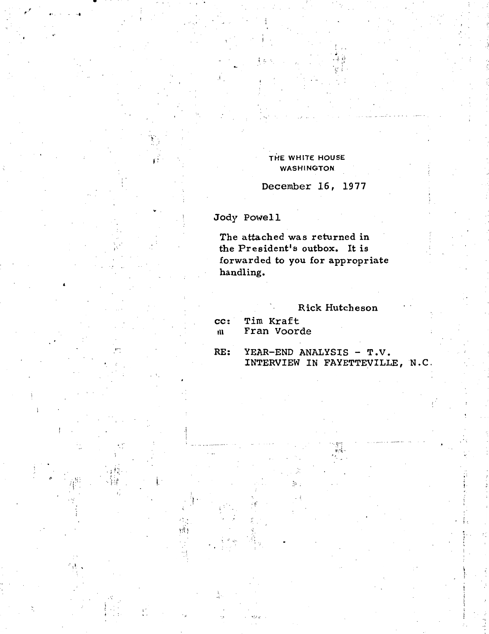### THE WHITE HOUSE **WASHINGTON**

December 16, 1977

Jody Powell

The attached was returned in the President's outbox. It is forwarded to you for appropriate handling.

Rick Hutcheson

Tim Kraft cc: Fran Voorde  $\mathbf{u}$ 

RE: YEAR-END ANALYSIS - T.V. INTERVIEW IN FAYETTEVILLE, N.C.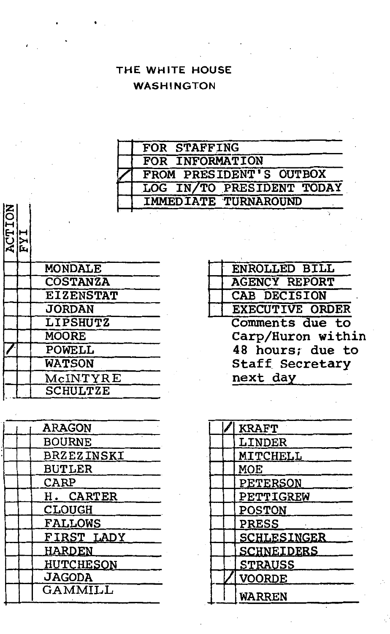# THE WHITE HOUSE WASHINGTON

| FOR STAFFING                |
|-----------------------------|
| FOR INFORMATION             |
| FROM PRESIDENT'S OUTBOX     |
| LOG IN/TO PRESIDENT TODAY   |
| <b>IMMEDIATE TURNAROUND</b> |

| CTION |                  | T WIT |
|-------|------------------|-------|
|       | <b>MONDALE</b>   |       |
|       | <b>COSTANZA</b>  |       |
|       | <b>EIZENSTAT</b> |       |
|       | <b>JORDAN</b>    |       |
|       | <b>LIPSHUTZ</b>  |       |
|       | <b>MOORE</b>     |       |
|       | POWELL           |       |
|       | <b>WATSON</b>    |       |
|       | McINTYRE         |       |
|       | <b>SCHULTZE</b>  |       |

| <b>ARAGON</b>     |  |
|-------------------|--|
| <b>BOURNE</b>     |  |
| <b>BRZEZINSKI</b> |  |
| <b>BUTLER</b>     |  |
| CARP              |  |
| H. CARTER         |  |
| <b>CLOUGH</b>     |  |
| <b>FALLOWS</b>    |  |
| FIRST LADY        |  |
| <b>HARDEN</b>     |  |
| HUTCHESON         |  |
| <b>JAGODA</b>     |  |
| GAMMILL           |  |
|                   |  |

| <b>ENROLLED BILL</b>   |
|------------------------|
| <b>AGENCY REPORT</b>   |
| CAB DECISION           |
| <b>EXECUTIVE ORDER</b> |
| Comments due to        |
| Carp/Huron within      |
| 48 hours; due to       |
| <b>Staff Secretary</b> |
| next day               |

| <b>KRAFT</b>       |
|--------------------|
| LINDER             |
| <b>MITCHELL</b>    |
| MOE                |
| PETERSON           |
| PETTIGREW          |
| <b>POSTON</b>      |
| <b>PRESS</b>       |
| <b>SCHLESINGER</b> |
| <b>SCHNEIDERS</b>  |
| <b>STRAUSS</b>     |
| <b>VOORDE</b>      |
| WARREN             |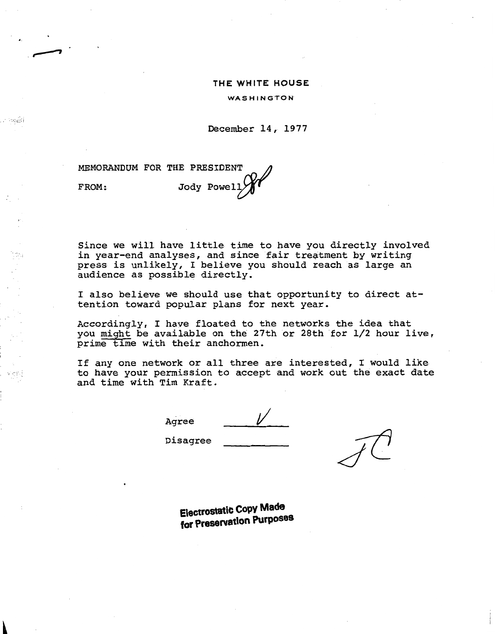#### **THE WHITE HOUSE**

WASHINGTON

December 14, 1977

MEMORANDUM FOR THE PRESIDENT  $\curvearrowleft$ FROM: Jody Powell

..

. roddi

Since we will have little time to have you directly involved in year-end analyses, and since fair treatment by writing press *is* unlikely, I believe you should reach as large an audience as possible directly.

I also believe we should use that opportunity to direct attention toward popular plans for next year.

Accordingly, I have floated to the networks the idea that you might be available on the 27th or 28th for 1/2 hour live, prime time with their anchormen.

If any one network or all three are interested, I would like to have your permission to accept and work out the exact date and time with Tim Kraft.

Agree

Disagree

**Electrostatic Copy Made for Preservation Purposes**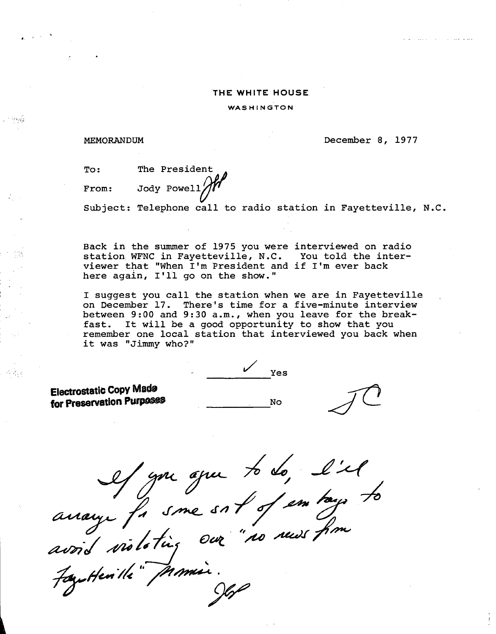### **THE WHITE HOUSE.**

WASHINGTON

### MEMORANDUM

. *. :;·:r.;* 

December 8, 1977

وساعا وللمنازل

| To:   | The President |
|-------|---------------|
| From: | le President  |

Subject: Telephone call to radio station in Fayetteville, N.C.

Back in the summer of 1975 you were interviewed on radio station WFNC in Fayetteville, N.C. You told the interviewer that "When I'm President and if I'm ever back here again, I'll go on the show."

I suggest you call the station when we are in Fayetteville on December 17. There's time for a five-minute interview between 9:00 and 9:30a.m., when you leave for the breakfast. It will be a good opportunity to show that you remember one local station that interviewed you back when it was "Jimmy who?"

**Electrostatic Copy Made for Preservation Purposes** 

 $\frac{1}{\sqrt{1-\frac{1}{\sqrt{1+\frac{1}{\sqrt{1+\frac{1}{\sqrt{1+\frac{1}{\sqrt{1+\frac{1}{\sqrt{1+\frac{1}{\sqrt{1+\frac{1}{\sqrt{1+\frac{1}{\sqrt{1+\frac{1}{\sqrt{1+\frac{1}{\sqrt{1+\frac{1}{\sqrt{1+\frac{1}{\sqrt{1+\frac{1}{\sqrt{1+\frac{1}{\sqrt{1+\frac{1}{\sqrt{1+\frac{1}{\sqrt{1+\frac{1}{\sqrt{1+\frac{1}{\sqrt{1+\frac{1}{\sqrt{1+\frac{1}{\sqrt{1+\frac{1}{\sqrt{1+\frac{1}{\sqrt{1+\frac{1}{\sqrt{1+\frac{1$ 

**No** 

anage for some sort of embays to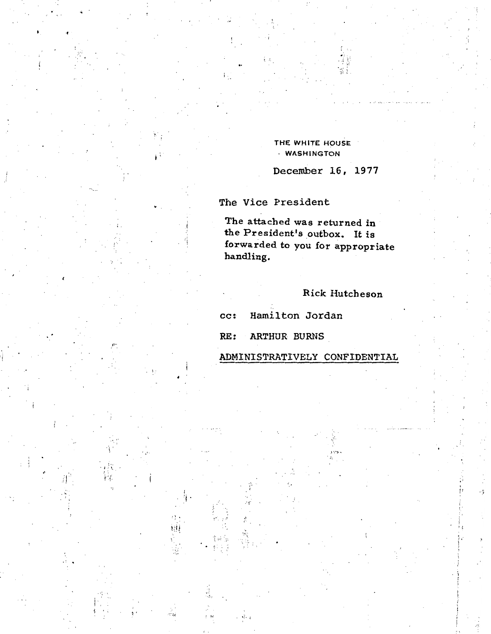THE WHITE HOUSE · WASHINGTON

December 16, 1977

The Vice President

 $\mathbf{F}^{\mathbf{t}}$ 

ंग

 $\begin{bmatrix} 1 \\ 0 \end{bmatrix}$ 

The attached was returned in the President's outbox. It is forwarded to you for appropriate handling.

# Rick Hutcheson

Hamilton Jordan  $cc:$ 

**ARTHUR BURNS** RE:

ADMINISTRATIVELY CONFIDENTIAL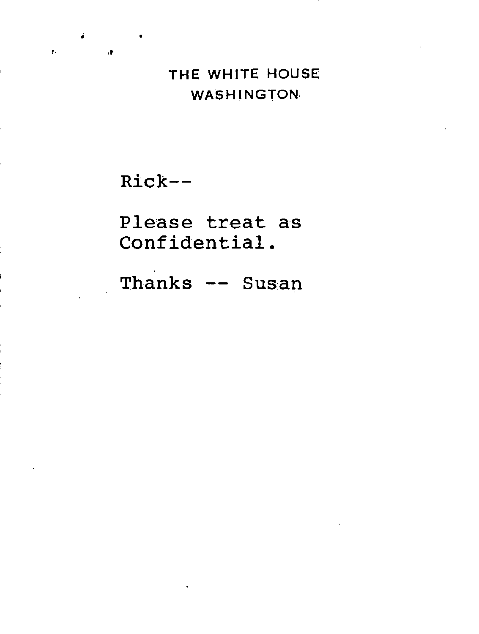### THE WHITE HOUSE **WASHINGTON**

Rick--

 $\mathbf{r}$ 

 $\cdot$ 

Please treat as Confidential.

Thanks -- Susan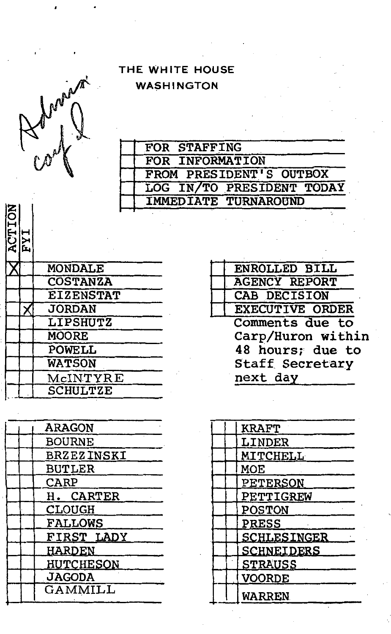THE WHITE HOUSE **WASHINGTON** 

| n. |  |
|----|--|
|    |  |
| ı  |  |

| FOR STAFFING                |
|-----------------------------|
| FOR INFORMATION             |
| FROM PRESIDENT'S OUTBOX     |
| LOG IN/TO PRESIDENT TODAY   |
| <b>IMMEDIATE TURNAROUND</b> |

| <b>ACTTON</b> | TW               |
|---------------|------------------|
|               | <b>MONDALE</b>   |
|               | <b>COSTANZA</b>  |
|               | <b>EIZENSTAT</b> |
|               | <b>JORDAN</b>    |
|               | <b>LIPSHUTZ</b>  |
|               | MOORE            |
|               | POWELL           |
|               | <b>WATSON</b>    |
|               | McINTYRE         |
|               | <b>SCHULTZE</b>  |
|               |                  |

|  | <b>ARAGON</b>     |
|--|-------------------|
|  | <b>BOURNE</b>     |
|  | <b>BRZEZINSKI</b> |
|  | <b>BUTLER</b>     |
|  | <b>CARP</b>       |
|  | H. CARTER         |
|  | CLOUGH            |
|  | <b>FALLOWS</b>    |
|  | FIRST LADY        |
|  | <b>HARDEN</b>     |
|  | <b>HUTCHESON</b>  |
|  | <b>JAGODA</b>     |
|  | GAMMILL           |
|  |                   |

| <b>ENROLLED BILL</b>   |
|------------------------|
| <b>AGENCY REPORT</b>   |
| CAB DECISION           |
| <b>EXECUTIVE ORDER</b> |
| Comments due to        |
| Carp/Huron within      |
| 48 hours; due to       |
| Staff Secretary        |
| next day               |
|                        |

| <b>KRAFT</b>      |
|-------------------|
| <b>LINDER</b>     |
| <b>MITCHELL</b>   |
| MOE               |
| PETERSON          |
| PETTIGREW         |
| <b>POSTON</b>     |
| <b>PRESS</b>      |
| SCHLESINGER       |
| <b>SCHNEIDERS</b> |
| <b>STRAUSS</b>    |
| <b>VOORDE</b>     |
| <b>WARREN</b>     |
|                   |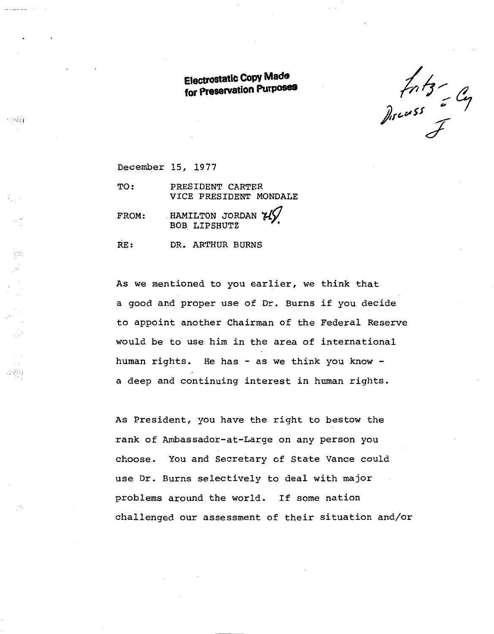**Electrostatic Copy Made for Preservation Purposes** 

 $f_{11}f_{3} - g_{4}$ 

December 15, 1977

- 168

in<br>S

 $\sim 350$ 

TO: PRESIDENT CARTER VICE PRESIDENT MONDALE

HAMILTON JORDAN  $\mathcal{H}$  BOB LIPSHUTZ FROM:

RE: DR. ARTHUR BURNS

As we mentioned to you earlier, we think that a good and proper use of Dr. Burns if you decide to appoint another Chairman of the Federal Reserve would be to use him in the area of international human rights. He has - as we think you know a deep and continuing interest in human rights.

As President, you have the right to bestow the rank of Ambassador-at-Large on any person you choose. You and Secretary of State Vance could use Dr. Burns selectively to deal with major problems around the world. If some nation challenged our assessment of their situation and/or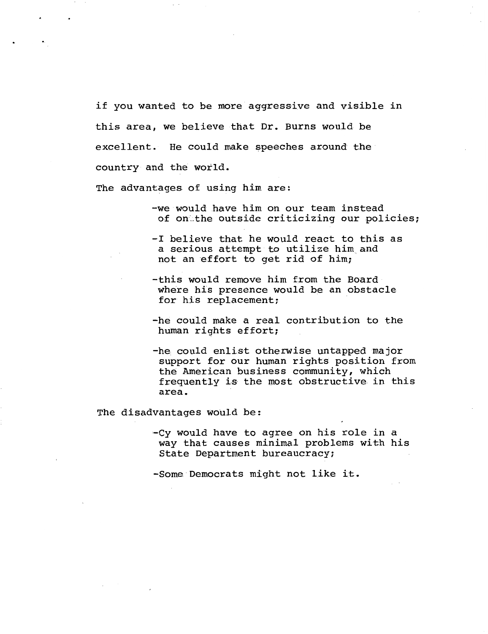if you wanted to be more aggressive and visible in this area, we believe that Dr. Burns would be excellent. He could make speeches around the country and the world.

The advantages of using him are:

- -we would have him on our team instead of onthe outside criticizing our policies:
- -I believe that he would react to this as a serious attempt to utilize him.and not an effort to get rid of him;
- -this would remove him from the Board where his presence would be an obstacle for his replacement;
- -he could make a real contribution to the human rights effort;
- -he could enlist otherwise untapped major support for our human rights position from the American business community, which frequently is the most obstructive in this area.

The disadvantages would be:

-Cy would have to agree on his role in a way that causes minimal problems with his State Department bureaucracy;

-Some Democrats might not like it.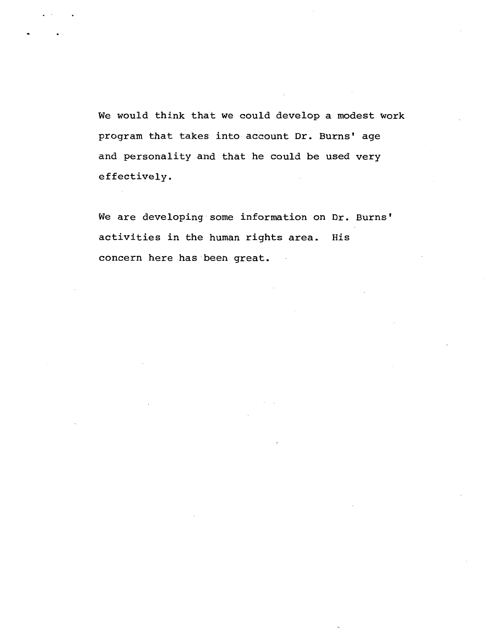We would think that we could develop a modest work program that takes into account Dr. Burns' age and personality and that he could be used very effectively.

We are developing some information on Dr. Burns' activities in the human rights area. His concern here has been great.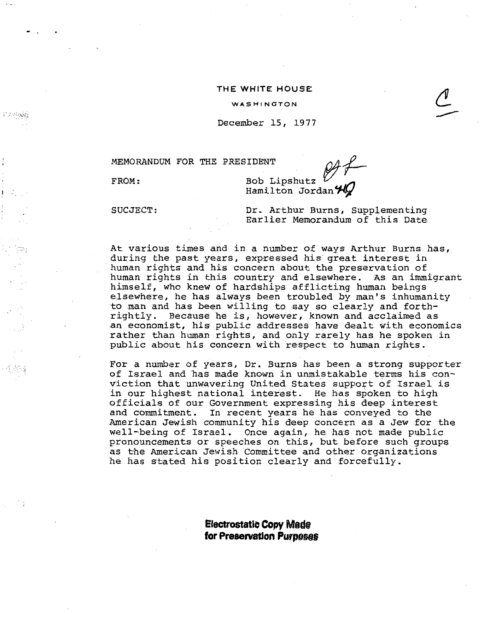### **THE WHITE HOUSE**

WASHINGTON.

December 15, 1977

MEMORANDUM FOR THE PRESIDENT  $\mathcal{Q}4\mathcal{L}$ 

----

FROM:

-'

<sup>1</sup>.:.

I··.··. ·.:!

 $\cdot$  i

Bob Lipshutz  $u$ <br>Hamilton Jordan  $\mathcal{H}_\mathcal{I}$ 

SUCJECT:

Dr. Arthur Burns, Supplementing Earlier Memorandum of this Date

At various times and in a number of ways Arthur Burns has, during the past years, expressed his great interest in human rights and his concern about the preservation of human rights in this country and elsewhere. As an immigrant himself, who knew of hardships afflicting human beings elsewhere, he has always been troubled by man's inhumanity to man and has been willing to say so clearly and forthrightly. Because he is, however, known and acclaimed as an economist, his public addresses have dealt with economics rather than human rights, and only rarely has he spoken in public about his concern with respect to human rights.

For a number of years, Dr. Burns has been a strong supporter of Israel and has made known in unmistakable terms his conviction that unwavering United States support of Israel is in our highest national interest. He has spoken to high officials of our Government expressing his deep interest and commitment. In recent years he has conveyed to the American Jewish community his deep concern as a Jew for the well-being of Israel. Once again, he has not made public pronouncements or speeches on this, but before such groups as the American Jewish Committee and other organizations he has stated his position clearly and forcefully .

> **Electrostatic Copy Made for Preservation Purposes**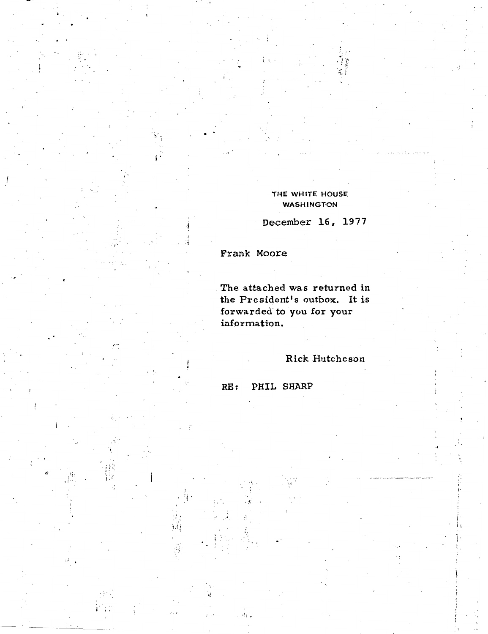THE WHITE HOUSE **WASHINGTON** 

December 16, 1977

Frank Moore

The attached was returned in the President's outbox. It is forwarded to you for your information.

Rick Hutcheson

PHIL SHARP  $RE:$ 

jf.<br>Tr

「遍」「更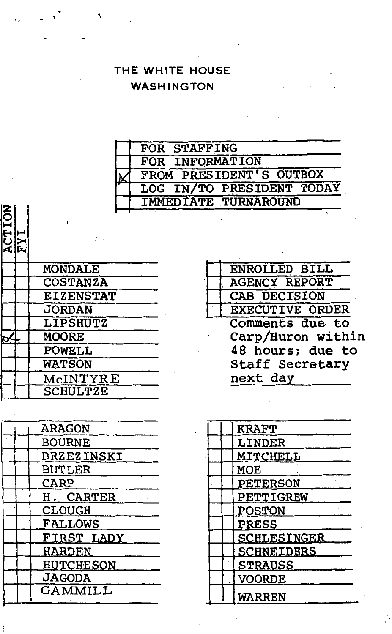THE WHITE HOUSE **WASHINGTON** 

| FOR STAFFING                |
|-----------------------------|
| FOR INFORMATION             |
| FROM PRESIDENT'S OUTBOX     |
| LOG IN/TO PRESIDENT TODAY   |
| <b>IMMEDIATE TURNAROUND</b> |

| <b>CTION</b> | ты               |  |
|--------------|------------------|--|
|              | MONDALE          |  |
|              | <b>COSTANZA</b>  |  |
|              | <b>EIZENSTAT</b> |  |
|              | <b>JORDAN</b>    |  |
|              | <b>LIPSHUTZ</b>  |  |
|              | <b>MOORE</b>     |  |
|              | <b>POWELL</b>    |  |
|              | <b>WATSON</b>    |  |
|              | McINTYRE         |  |
|              | <b>SCHULTZE</b>  |  |

|  | ARAGON            |
|--|-------------------|
|  | <b>BOURNE</b>     |
|  | <b>BRZEZINSKI</b> |
|  | <b>BUTLER</b>     |
|  | CARP              |
|  | H. CARTER         |
|  | CLOUGH            |
|  | <b>FALLOWS</b>    |
|  | FIRST LADY        |
|  | <b>HARDEN</b>     |
|  | HUTCHESON         |
|  | <b>JAGODA</b>     |
|  | GAMMILL           |
|  |                   |

| ENROLLED BILL          |
|------------------------|
| <b>AGENCY REPORT</b>   |
| CAB DECISION           |
| <b>EXECUTIVE ORDER</b> |
| Comments due to        |
| Carp/Huron within      |
| 48 hours; due to       |
| Staff Secretary        |
| next day               |
|                        |

| <u>MITCHELL</u>   |
|-------------------|
|                   |
| PETERSON          |
| PETTIGREW         |
|                   |
|                   |
| SCHLESINGER       |
| <b>SCHNEIDERS</b> |
|                   |
|                   |
|                   |
|                   |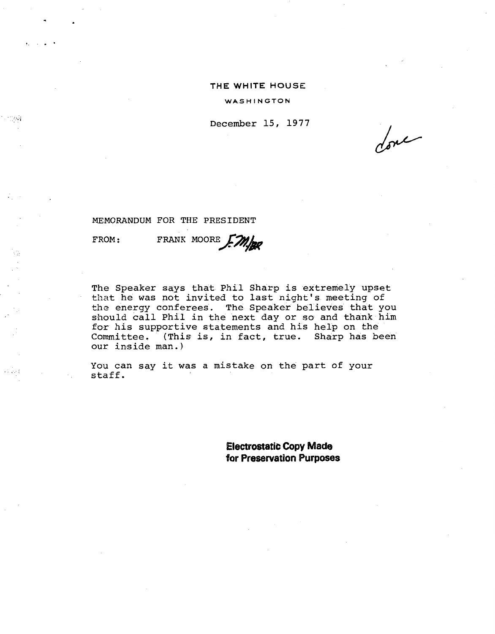### **THE WHITE HOUSE**

WASHINGTON

December 15, 1977

done

MEMORANDUM FOR THE PRESIDENT

FROM:

·- ...

نتري لأح

FRANK MOORE F.M.

The Speaker says that Phil Sharp is extremely upset that he was not invited to last night's meeting of the energy conferees. The Speaker believes that you should call Phil in the next day or so and thank him for his supportive statements and his help on the Committee. (This is, in fact, true. sharp has been our inside man.)

You can say it was a mistake on the part of your staff.

> **Electrostatic Copy Made for Preservation Purposes**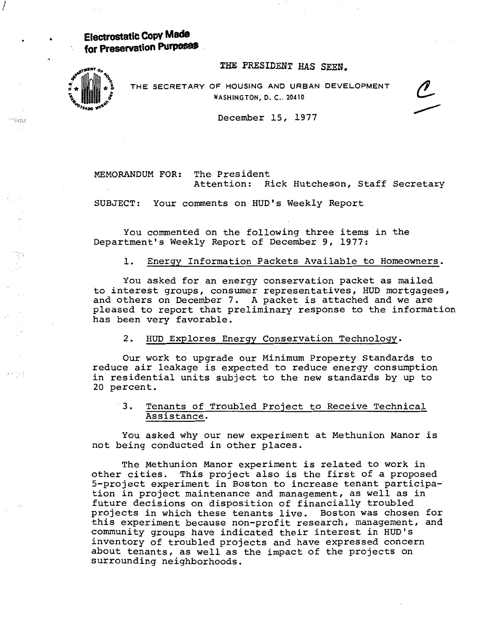**Electrostatic Copy Made for Preservation Purposes** 

THE PRESIDENT HAS SEEN.



I

inspéla

医细胞

THE SECRETARY OF HOUSING AND URBAN DEVELOPMENT WASHINGTON, D. C., 20410



December 15, 1977

MEMORANDUM FOR: The President Attention: Rick Hutcheson, Staff Secretary

SUBJECT: Your connnents on HUD's Weekly Report

You commented on the following three items in the Department's Weekly Report of December 9, 1977:

### 1. Energy Information Packets Available to Homeowners.

You asked for an energy conservation packet as mailed to interest groups, consumer representatives, HUD mortgagees, and others on December 7. A packet is attached and we are pleased to report that preliminary response to the information has been very favorable.

### 2. HUD Explores Energy Conservation Technology.

Our work to upgrade our Minimum Property Standards to reduce air leakage is expected to reduce energy consumption in residential units subject to the new standards by up to 20 percent.

### · 3. Tenants of Troubled Project to Receive Technical Assistance.

You asked why our new experiment at Methunion Manor is not being conducted in other places.

The Methunion Manor experiment is related to work in other cities. This project also is the first of a proposed 5-project experiment in Boston to increase tenant participation in project maintenance and management, as well as in future decisions on disposition of financially troubled projects in which these tenants live. Boston was chosen for this experiment because non-profit research, management, and community groups have indicated their interest in HUD's inventory of troubled projects and have expressed concern about tenants, as well as the impact of the projects on surrounding neighborhoods.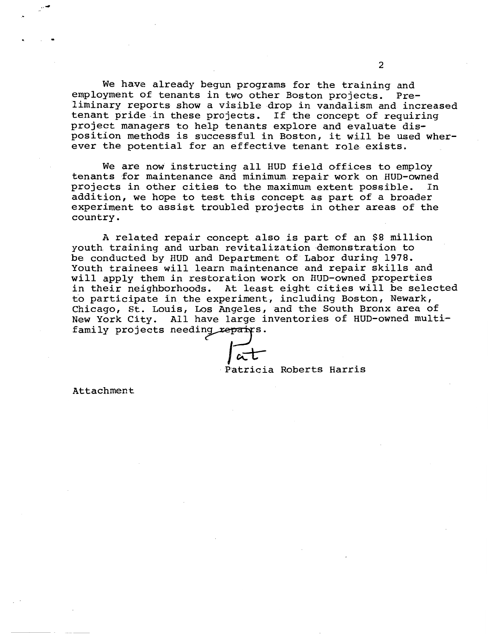We have already begun programs for the training and employment of tenants in two other Boston projects. Preliminary reports show a visible drop in vandalism and increased tenant pride in these projects. If the concept of requiring project managers to help tenants explore and evaluate disposition methods is successful in Boston, it will be used wherever the potential for an effective tenant role exists.

We are now instructing all HUD field offices to employ tenants for maintenance and minimum repair work on HUD-owned<br>projects in other cities to the maximum extent possible. In projects in other cities to the maximum extent possible. addition, we hope to test this concept as part of a broader experiment to assist troubled projects in other areas of the country.

A related repair concept also is part of an \$8 million youth training and urban revitalization demonstration to be conducted by HUD and Department of Labor during 1978. Youth trainees will learn maintenance and repair skills and will apply them in restoration work on HUD-owned properties in their neighborhoods. At least eight cities will be selected to participate in the experiment, including Boston, Newark, Chicago, St. Louis, Los Angeles, and the South Bronx area of New York City. All have large inventories of HUD-owned multifamily projects needing repairs.

Patricia Roberts Harris

Attachment

 $\cdot$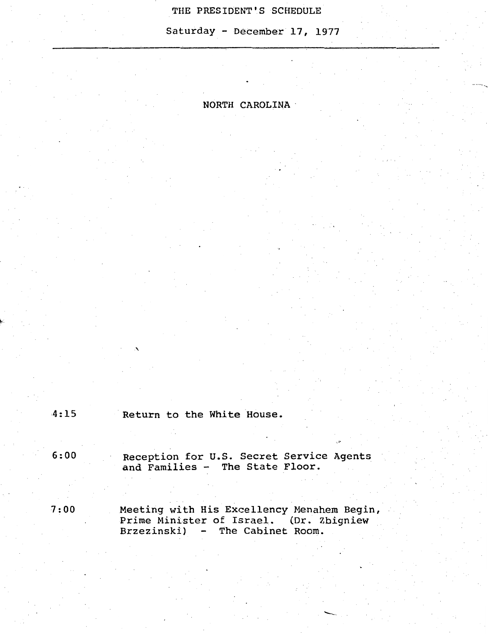### THE PRESIDENT'S SCHEDULE

Saturday- December 17, 1977

# NORTH CAROLINA·

4:15 Return to the White House.

6:00 Reception for u.s. Secret Service Agents and Families - The State Floor.

7:00 Meeting with His Excellency Menahem Begin,<br>Prime Minister of Israel. (Dr. Zbigniew Prime Minister of Israel. Brzezinski) - The Cabinet Room.

-··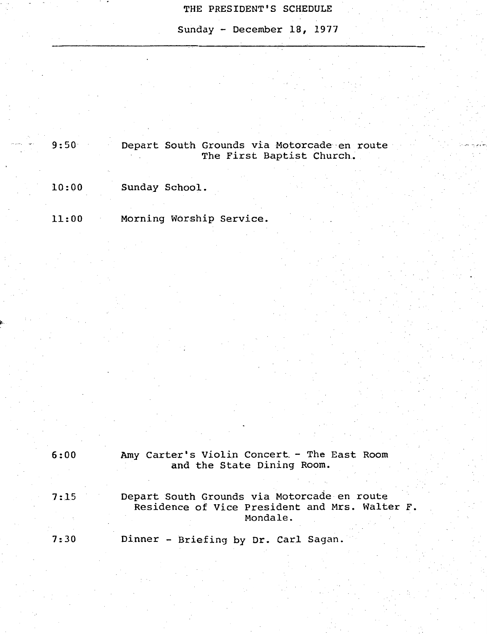# THE PRESIDENT'S SCHEDULE

Sunday - December 18, 1977

9:50 Depart South Grounds via Motorcade·en route The First Baptist Church.

10:00 Sunday School.

11:00 Morning Worship Service.

| 6:00 | Amy Carter's Violin Concert - The East Room<br>and the State Dining Room.                     |
|------|-----------------------------------------------------------------------------------------------|
|      |                                                                                               |
| 7:15 | Depart South Grounds via Motorcade en route<br>Residence of Vice President and Mrs. Walter F. |
|      | Mondale.                                                                                      |
| 7:30 | Dinner - Briefing by Dr. Carl Sagan.                                                          |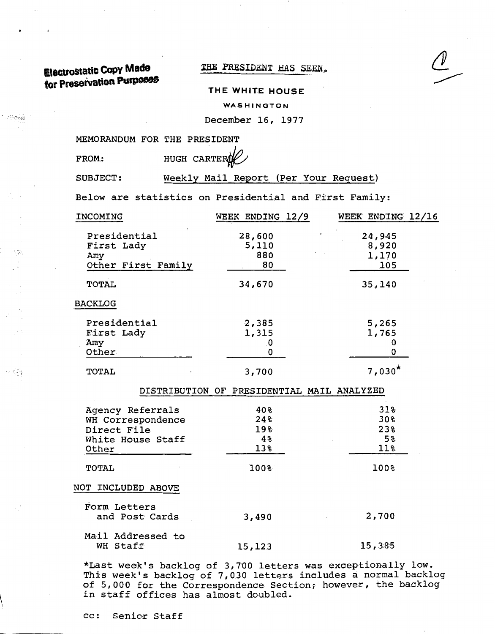**ElectrOStatic CoPY Made**  for Preservation Purposes

### THE PRESIDENT HAS SEEN.

### **THE WHITE HOUSE**

WASHINGTON

December 16, 1977

MEMORANDUM FOR THE PRESIDENT

 $\sim 25.6$ 

수정일

FROM: HUGH CARTE

SUBJECT: Weekly Mail Report (Per Your Request)

Below are statistics on Presidential and First Family:

| INCOMING           | WEEK ENDING 12/9                           | WEEK ENDING 12/16 |
|--------------------|--------------------------------------------|-------------------|
| Presidential       | 28,600                                     | 24,945            |
| First Lady         | 5,110                                      | 8,920             |
| Amy                | 880                                        | 1,170             |
| Other First Family | 80                                         | 105               |
| <b>TOTAL</b>       | 34,670                                     | 35,140            |
| <b>BACKLOG</b>     |                                            |                   |
| Presidential       | 2,385                                      | 5,265             |
| First Lady         | 1,315                                      | 1,765             |
| Amy                | 0                                          | 0                 |
| Other              | 0                                          | 0                 |
| TOTAL              | 3,700                                      | $7,030*$          |
|                    | DISTRIBUTION OF PRESIDENTIAL MAIL ANALYZED |                   |
| Agency Referrals   | 40%                                        | $31$ %            |
| WH Correspondence  | 24%                                        | 30%               |
| Direct File        | 19%                                        | 23%               |
| White House Staff  | 48                                         | 5 <sup>°</sup>    |
| Other              | 13%                                        | 11%               |
| <b>TOTAL</b>       | 100%                                       | 100%              |
| NOT INCLUDED ABOVE |                                            |                   |
| Form Letters       |                                            |                   |
| and Post Cards     | 3,490                                      | 2,700             |
| Mail Addressed to  |                                            |                   |
| WH Staff           | 15, 123                                    | 15,385            |

\*Last week's backlog of 3,700 letters was exceptionally low. This week's backlog of 7,030 letters includes a normal backlog of 5,000 for the Correspondence Section; however, the backlog in staff offices has almost doubled.

cc: Senior Staff  $\overline{\phantom{a}}$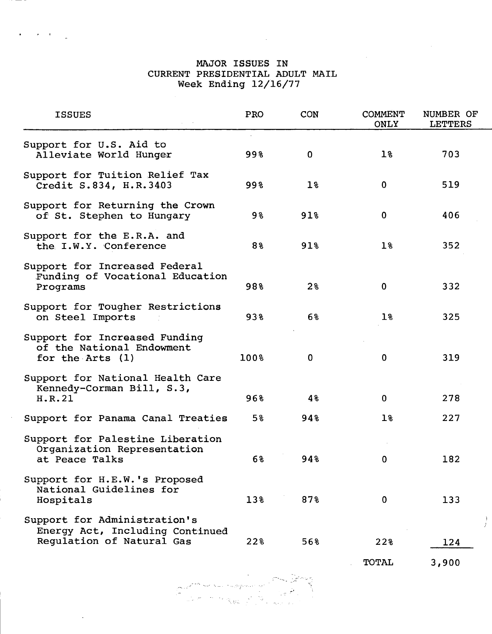# MAJOR ISSUES IN CURRENT PRESIDENTIAL ADULT MAIL Week Ending 12/16/77

| <b>ISSUES</b>                                                                                | PRO  | CON            | <b>COMMENT</b><br><b>ONLY</b> | NUMBER OF<br><b>LETTERS</b> |
|----------------------------------------------------------------------------------------------|------|----------------|-------------------------------|-----------------------------|
| Support for U.S. Aid to<br>Alleviate World Hunger                                            | 998  | $\mathbf 0$    | $1\%$                         | 703                         |
| Support for Tuition Relief Tax<br>Credit S.834, H.R.3403                                     | 998  | 1 <sub>8</sub> | $\mathbf 0$                   | 519                         |
| Support for Returning the Crown<br>of St. Stephen to Hungary                                 | 9%   | 91%            | $\mathbf 0$                   | 406                         |
| Support for the E.R.A. and<br>the I.W.Y. Conference                                          | 8%   | 91%            | 1 <sup>8</sup>                | 352                         |
| Support for Increased Federal<br>Funding of Vocational Education<br>Programs                 | 98%  | 2 <sup>8</sup> | $\mathbf 0$                   | 332                         |
| Support for Tougher Restrictions<br>on Steel Imports                                         | 938  | 6%             | $1\,$                         | 325                         |
| Support for Increased Funding<br>of the National Endowment<br>for the Arts (1)               | 100% | 0              | $\mathbf 0$                   | 319                         |
| Support for National Health Care<br>Kennedy-Corman Bill, S.3,<br>H.R.21                      | 96%  | 48             | $\mathbf 0$                   | 278                         |
| Support for Panama Canal Treaties                                                            | 5%   | 948            | $1\%$                         | 227                         |
| Support for Palestine Liberation<br>Organization Representation<br>at Peace Talks            | 6%   | 94%            | $\bf{0}$                      | 182                         |
| Support for H.E.W.'s Proposed<br>National Guidelines for<br>Hospitals                        | 13%  | 87%            | $\mathbf 0$                   | 133                         |
| Support for Administration's<br>Energy Act, Including Continued<br>Regulation of Natural Gas | 22%  | 56%            | 22%                           | 124                         |

TOTAL

3,900

 $\sqrt{2}$ •' *,\_: \_\_*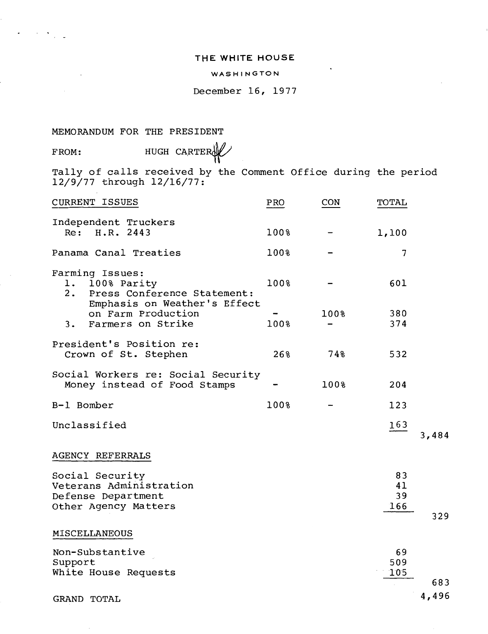### **THE WHITE HOUSE**

### WASHINGTON

December 16, 1977

MEMORANDUM FOR THE PRESIDENT

 $\sim 10^{-10}$  M

FROM: HUGH CARTER

Tally of calls received by the Comment Office during the period 12/9/77 through 12/16/77:

| <b>CURRENT ISSUES</b>                                                                               | PRO  | CON  | TOTAL                 |              |
|-----------------------------------------------------------------------------------------------------|------|------|-----------------------|--------------|
| Independent Truckers<br>Re: H.R. 2443                                                               | 100% |      | 1,100                 |              |
| Panama Canal Treaties                                                                               | 100% |      | 7                     |              |
| Farming Issues:<br>1. 100% Parity<br>2. Press Conference Statement:<br>Emphasis on Weather's Effect | 100% |      | 601                   |              |
| on Farm Production<br>3. Farmers on Strike                                                          | 100% | 100% | 380<br>374            |              |
| President's Position re:<br>Crown of St. Stephen                                                    | 26%  | 74%  | 532                   |              |
| Social Workers re: Social Security<br>Money instead of Food Stamps                                  |      | 100% | 204                   |              |
| B-1 Bomber                                                                                          | 100% |      | 123                   |              |
| Unclassified                                                                                        |      |      | 163                   | 3,484        |
| AGENCY REFERRALS                                                                                    |      |      |                       |              |
| Social Security<br>Veterans Administration<br>Defense Department<br>Other Agency Matters            |      |      | 83<br>41<br>39<br>166 | 329          |
| MISCELLANEOUS                                                                                       |      |      |                       |              |
| Non-Substantive<br>Support<br>White House Requests                                                  |      |      | 69<br>509<br>105      |              |
| <b>GRAND TOTAL</b>                                                                                  |      |      |                       | 683<br>4,496 |